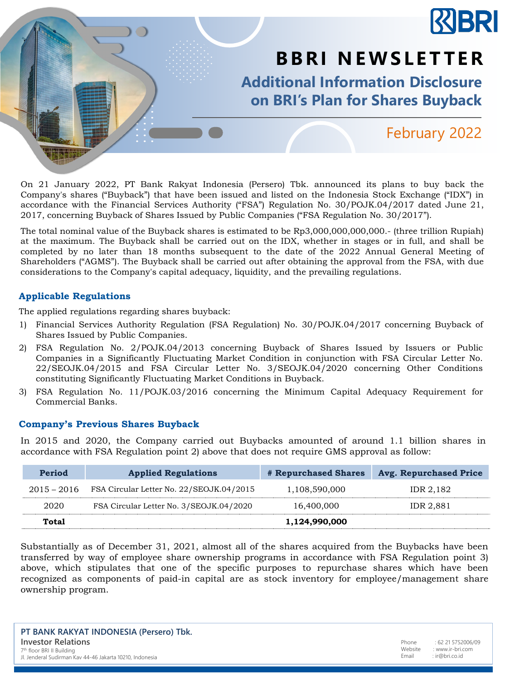

On 21 January 2022, PT Bank Rakyat Indonesia (Persero) Tbk. announced its plans to buy back the Company's shares ("Buyback") that have been issued and listed on the Indonesia Stock Exchange ("IDX") in accordance with the Financial Services Authority ("FSA") Regulation No. 30/POJK.04/2017 dated June 21, 2017, concerning Buyback of Shares Issued by Public Companies ("FSA Regulation No. 30/2017").

The total nominal value of the Buyback shares is estimated to be Rp3,000,000,000,000.- (three trillion Rupiah) at the maximum. The Buyback shall be carried out on the IDX, whether in stages or in full, and shall be completed by no later than 18 months subsequent to the date of the 2022 Annual General Meeting of Shareholders ("AGMS"). The Buyback shall be carried out after obtaining the approval from the FSA, with due considerations to the Company's capital adequacy, liquidity, and the prevailing regulations.

## **Applicable Regulations**

The applied regulations regarding shares buyback:

- 1) Financial Services Authority Regulation (FSA Regulation) No. 30/POJK.04/2017 concerning Buyback of Shares Issued by Public Companies.
- 2) FSA Regulation No. 2/POJK.04/2013 concerning Buyback of Shares Issued by Issuers or Public Companies in a Significantly Fluctuating Market Condition in conjunction with FSA Circular Letter No. 22/SEOJK.04/2015 and FSA Circular Letter No. 3/SEOJK.04/2020 concerning Other Conditions constituting Significantly Fluctuating Market Conditions in Buyback.
- 3) FSA Regulation No. 11/POJK.03/2016 concerning the Minimum Capital Adequacy Requirement for Commercial Banks.

## **Company's Previous Shares Buyback**

In 2015 and 2020, the Company carried out Buybacks amounted of around 1.1 billion shares in accordance with FSA Regulation point 2) above that does not require GMS approval as follow:

| Period        | <b>Applied Regulations</b>               | <b># Repurchased Shares</b> | <b>Avg. Repurchased Price</b> |
|---------------|------------------------------------------|-----------------------------|-------------------------------|
| $2015 - 2016$ | FSA Circular Letter No. 22/SEOJK.04/2015 | 1,108,590,000               | IDR 2,182                     |
| 2020          | FSA Circular Letter No. 3/SEOJK.04/2020  | 16,400,000                  | IDR 2.881                     |
| Total         |                                          | 1,124,990,000               |                               |

Substantially as of December 31, 2021, almost all of the shares acquired from the Buybacks have been transferred by way of employee share ownership programs in accordance with FSA Regulation point 3) above, which stipulates that one of the specific purposes to repurchase shares which have been recognized as components of paid-in capital are as stock inventory for employee/management share ownership program.